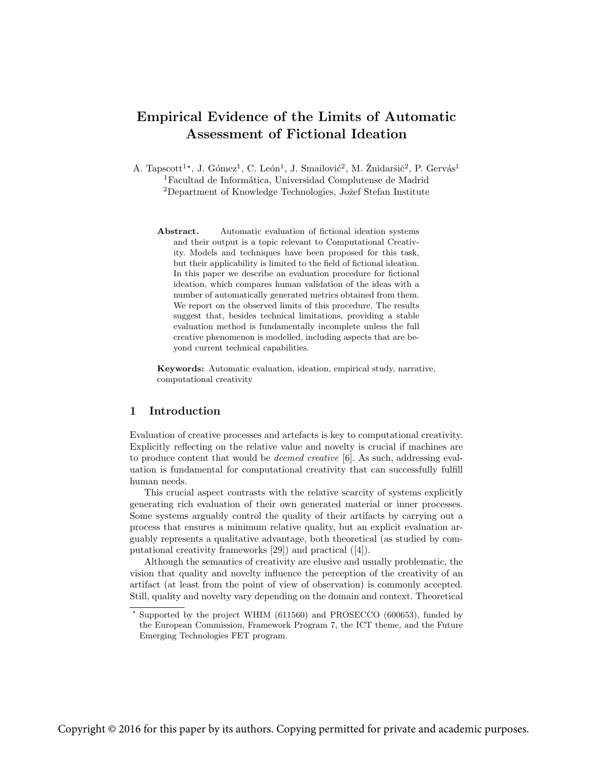# Empirical Evidence of the Limits of Automatic Assessment of Fictional Ideation

A. Tapscott<sup>1\*</sup>, J. Gómez<sup>1</sup>, C. León<sup>1</sup>, J. Smailović<sup>2</sup>, M. Žnidaršič<sup>2</sup>, P. Gervás<sup>1</sup>  ${}^{1}$ Facultad de Informática, Universidad Complutense de Madrid <sup>2</sup>Department of Knowledge Technologies, Jožef Stefan Institute

Abstract. Automatic evaluation of fictional ideation systems and their output is a topic relevant to Computational Creativity. Models and techniques have been proposed for this task, but their applicability is limited to the field of fictional ideation. In this paper we describe an evaluation procedure for fictional ideation, which compares human validation of the ideas with a number of automatically generated metrics obtained from them. We report on the observed limits of this procedure. The results suggest that, besides technical limitations, providing a stable evaluation method is fundamentally incomplete unless the full creative phenomenon is modelled, including aspects that are beyond current technical capabilities.

Keywords: Automatic evaluation, ideation, empirical study, narrative, computational creativity

# 1 Introduction

Evaluation of creative processes and artefacts is key to computational creativity. Explicitly reflecting on the relative value and novelty is crucial if machines are to produce content that would be deemed creative [6]. As such, addressing evaluation is fundamental for computational creativity that can successfully fulfill human needs.

This crucial aspect contrasts with the relative scarcity of systems explicitly generating rich evaluation of their own generated material or inner processes. Some systems arguably control the quality of their artifacts by carrying out a process that ensures a minimum relative quality, but an explicit evaluation arguably represents a qualitative advantage, both theoretical (as studied by computational creativity frameworks [29]) and practical ([4]).

Although the semantics of creativity are elusive and usually problematic, the vision that quality and novelty influence the perception of the creativity of an artifact (at least from the point of view of observation) is commonly accepted. Still, quality and novelty vary depending on the domain and context. Theoretical

Supported by the project WHIM (611560) and PROSECCO (600653), funded by the European Commission, Framework Program 7, the ICT theme, and the Future Emerging Technologies FET program.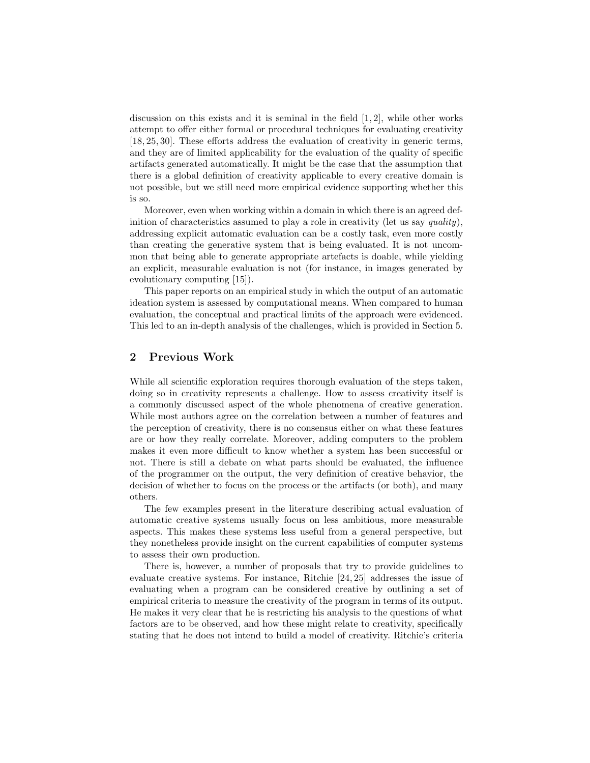discussion on this exists and it is seminal in the field  $[1, 2]$ , while other works attempt to offer either formal or procedural techniques for evaluating creativity [18, 25, 30]. These efforts address the evaluation of creativity in generic terms, and they are of limited applicability for the evaluation of the quality of specific artifacts generated automatically. It might be the case that the assumption that there is a global definition of creativity applicable to every creative domain is not possible, but we still need more empirical evidence supporting whether this is so.

Moreover, even when working within a domain in which there is an agreed definition of characteristics assumed to play a role in creativity (let us say quality), addressing explicit automatic evaluation can be a costly task, even more costly than creating the generative system that is being evaluated. It is not uncommon that being able to generate appropriate artefacts is doable, while yielding an explicit, measurable evaluation is not (for instance, in images generated by evolutionary computing [15]).

This paper reports on an empirical study in which the output of an automatic ideation system is assessed by computational means. When compared to human evaluation, the conceptual and practical limits of the approach were evidenced. This led to an in-depth analysis of the challenges, which is provided in Section 5.

## 2 Previous Work

While all scientific exploration requires thorough evaluation of the steps taken, doing so in creativity represents a challenge. How to assess creativity itself is a commonly discussed aspect of the whole phenomena of creative generation. While most authors agree on the correlation between a number of features and the perception of creativity, there is no consensus either on what these features are or how they really correlate. Moreover, adding computers to the problem makes it even more difficult to know whether a system has been successful or not. There is still a debate on what parts should be evaluated, the influence of the programmer on the output, the very definition of creative behavior, the decision of whether to focus on the process or the artifacts (or both), and many others.

The few examples present in the literature describing actual evaluation of automatic creative systems usually focus on less ambitious, more measurable aspects. This makes these systems less useful from a general perspective, but they nonetheless provide insight on the current capabilities of computer systems to assess their own production.

There is, however, a number of proposals that try to provide guidelines to evaluate creative systems. For instance, Ritchie [24, 25] addresses the issue of evaluating when a program can be considered creative by outlining a set of empirical criteria to measure the creativity of the program in terms of its output. He makes it very clear that he is restricting his analysis to the questions of what factors are to be observed, and how these might relate to creativity, specifically stating that he does not intend to build a model of creativity. Ritchie's criteria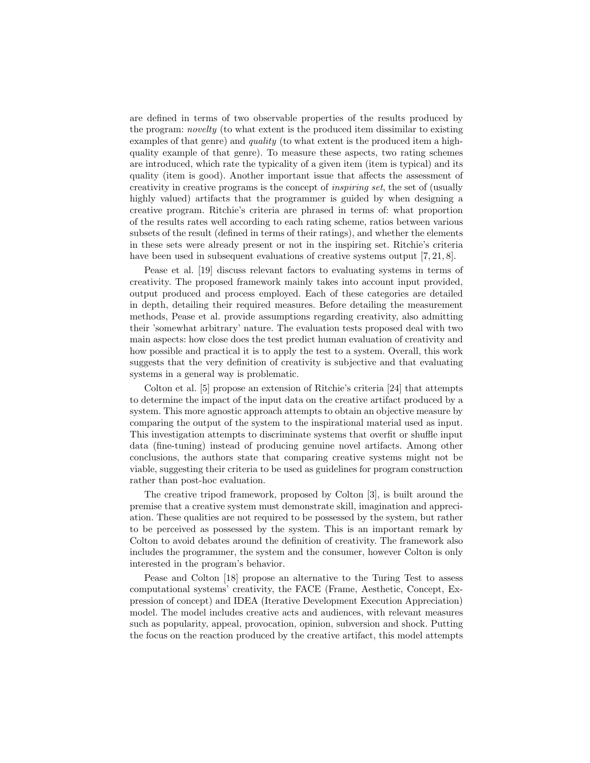are defined in terms of two observable properties of the results produced by the program: novelty (to what extent is the produced item dissimilar to existing examples of that genre) and *quality* (to what extent is the produced item a highquality example of that genre). To measure these aspects, two rating schemes are introduced, which rate the typicality of a given item (item is typical) and its quality (item is good). Another important issue that affects the assessment of creativity in creative programs is the concept of inspiring set, the set of (usually highly valued) artifacts that the programmer is guided by when designing a creative program. Ritchie's criteria are phrased in terms of: what proportion of the results rates well according to each rating scheme, ratios between various subsets of the result (defined in terms of their ratings), and whether the elements in these sets were already present or not in the inspiring set. Ritchie's criteria have been used in subsequent evaluations of creative systems output [7, 21, 8].

Pease et al. [19] discuss relevant factors to evaluating systems in terms of creativity. The proposed framework mainly takes into account input provided, output produced and process employed. Each of these categories are detailed in depth, detailing their required measures. Before detailing the measurement methods, Pease et al. provide assumptions regarding creativity, also admitting their 'somewhat arbitrary' nature. The evaluation tests proposed deal with two main aspects: how close does the test predict human evaluation of creativity and how possible and practical it is to apply the test to a system. Overall, this work suggests that the very definition of creativity is subjective and that evaluating systems in a general way is problematic.

Colton et al. [5] propose an extension of Ritchie's criteria [24] that attempts to determine the impact of the input data on the creative artifact produced by a system. This more agnostic approach attempts to obtain an objective measure by comparing the output of the system to the inspirational material used as input. This investigation attempts to discriminate systems that overfit or shuffle input data (fine-tuning) instead of producing genuine novel artifacts. Among other conclusions, the authors state that comparing creative systems might not be viable, suggesting their criteria to be used as guidelines for program construction rather than post-hoc evaluation.

The creative tripod framework, proposed by Colton [3], is built around the premise that a creative system must demonstrate skill, imagination and appreciation. These qualities are not required to be possessed by the system, but rather to be perceived as possessed by the system. This is an important remark by Colton to avoid debates around the definition of creativity. The framework also includes the programmer, the system and the consumer, however Colton is only interested in the program's behavior.

Pease and Colton [18] propose an alternative to the Turing Test to assess computational systems' creativity, the FACE (Frame, Aesthetic, Concept, Expression of concept) and IDEA (Iterative Development Execution Appreciation) model. The model includes creative acts and audiences, with relevant measures such as popularity, appeal, provocation, opinion, subversion and shock. Putting the focus on the reaction produced by the creative artifact, this model attempts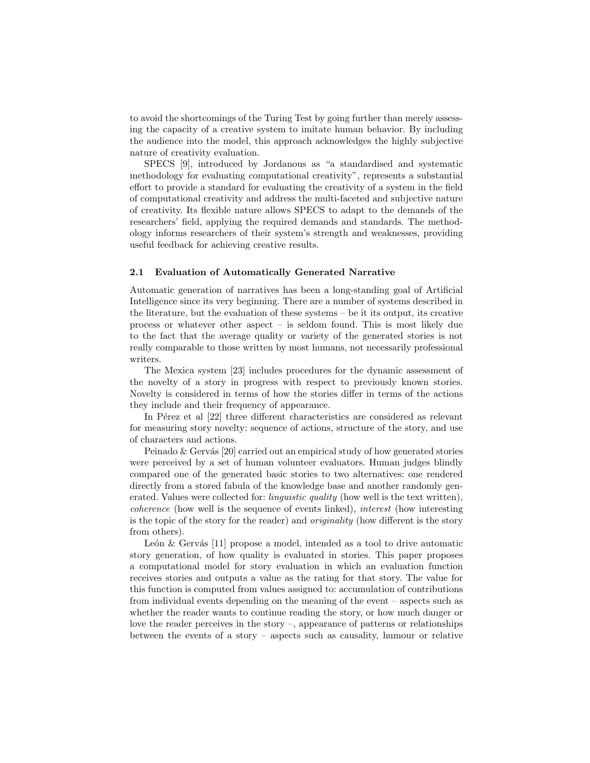to avoid the shortcomings of the Turing Test by going further than merely assessing the capacity of a creative system to imitate human behavior. By including the audience into the model, this approach acknowledges the highly subjective nature of creativity evaluation.

SPECS [9], introduced by Jordanous as "a standardised and systematic methodology for evaluating computational creativity", represents a substantial effort to provide a standard for evaluating the creativity of a system in the field of computational creativity and address the multi-faceted and subjective nature of creativity. Its flexible nature allows SPECS to adapt to the demands of the researchers' field, applying the required demands and standards. The methodology informs researchers of their system's strength and weaknesses, providing useful feedback for achieving creative results.

#### 2.1 Evaluation of Automatically Generated Narrative

Automatic generation of narratives has been a long-standing goal of Artificial Intelligence since its very beginning. There are a number of systems described in the literature, but the evaluation of these systems – be it its output, its creative process or whatever other aspect – is seldom found. This is most likely due to the fact that the average quality or variety of the generated stories is not really comparable to those written by most humans, not necessarily professional writers.

The Mexica system [23] includes procedures for the dynamic assessment of the novelty of a story in progress with respect to previously known stories. Novelty is considered in terms of how the stories differ in terms of the actions they include and their frequency of appearance.

In P $\acute{e}$ rez et al  $[22]$  three different characteristics are considered as relevant for measuring story novelty: sequence of actions, structure of the story, and use of characters and actions.

Peinado  $\&$  Gervás [20] carried out an empirical study of how generated stories were perceived by a set of human volunteer evaluators. Human judges blindly compared one of the generated basic stories to two alternatives: one rendered directly from a stored fabula of the knowledge base and another randomly generated. Values were collected for: *linguistic quality* (how well is the text written), coherence (how well is the sequence of events linked), interest (how interesting is the topic of the story for the reader) and originality (how different is the story from others).

León & Gervás  $[11]$  propose a model, intended as a tool to drive automatic story generation, of how quality is evaluated in stories. This paper proposes a computational model for story evaluation in which an evaluation function receives stories and outputs a value as the rating for that story. The value for this function is computed from values assigned to: accumulation of contributions from individual events depending on the meaning of the event – aspects such as whether the reader wants to continue reading the story, or how much danger or love the reader perceives in the story –, appearance of patterns or relationships between the events of a story – aspects such as causality, humour or relative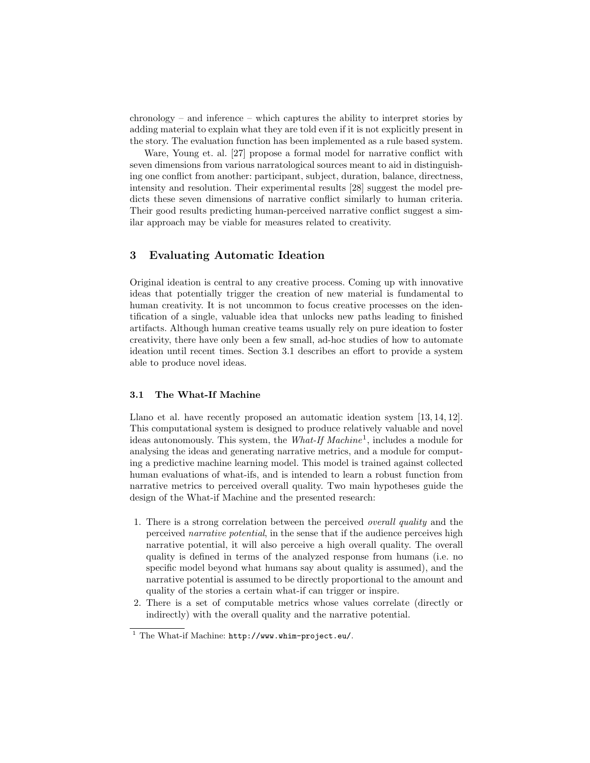chronology – and inference – which captures the ability to interpret stories by adding material to explain what they are told even if it is not explicitly present in the story. The evaluation function has been implemented as a rule based system.

Ware, Young et. al. [27] propose a formal model for narrative conflict with seven dimensions from various narratological sources meant to aid in distinguishing one conflict from another: participant, subject, duration, balance, directness, intensity and resolution. Their experimental results [28] suggest the model predicts these seven dimensions of narrative conflict similarly to human criteria. Their good results predicting human-perceived narrative conflict suggest a similar approach may be viable for measures related to creativity.

## 3 Evaluating Automatic Ideation

Original ideation is central to any creative process. Coming up with innovative ideas that potentially trigger the creation of new material is fundamental to human creativity. It is not uncommon to focus creative processes on the identification of a single, valuable idea that unlocks new paths leading to finished artifacts. Although human creative teams usually rely on pure ideation to foster creativity, there have only been a few small, ad-hoc studies of how to automate ideation until recent times. Section 3.1 describes an effort to provide a system able to produce novel ideas.

#### 3.1 The What-If Machine

Llano et al. have recently proposed an automatic ideation system [13, 14, 12]. This computational system is designed to produce relatively valuable and novel ideas autonomously. This system, the *What-If Machine*<sup>1</sup>, includes a module for analysing the ideas and generating narrative metrics, and a module for computing a predictive machine learning model. This model is trained against collected human evaluations of what-ifs, and is intended to learn a robust function from narrative metrics to perceived overall quality. Two main hypotheses guide the design of the What-if Machine and the presented research:

- 1. There is a strong correlation between the perceived overall quality and the perceived narrative potential, in the sense that if the audience perceives high narrative potential, it will also perceive a high overall quality. The overall quality is defined in terms of the analyzed response from humans (i.e. no specific model beyond what humans say about quality is assumed), and the narrative potential is assumed to be directly proportional to the amount and quality of the stories a certain what-if can trigger or inspire.
- 2. There is a set of computable metrics whose values correlate (directly or indirectly) with the overall quality and the narrative potential.

 $1$  The What-if Machine: http://www.whim-project.eu/.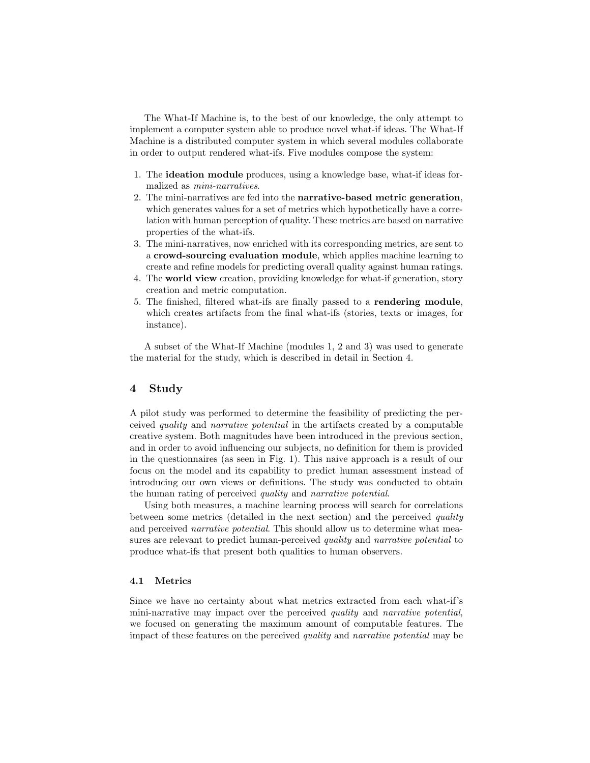The What-If Machine is, to the best of our knowledge, the only attempt to implement a computer system able to produce novel what-if ideas. The What-If Machine is a distributed computer system in which several modules collaborate in order to output rendered what-ifs. Five modules compose the system:

- 1. The ideation module produces, using a knowledge base, what-if ideas formalized as mini-narratives.
- 2. The mini-narratives are fed into the narrative-based metric generation, which generates values for a set of metrics which hypothetically have a correlation with human perception of quality. These metrics are based on narrative properties of the what-ifs.
- 3. The mini-narratives, now enriched with its corresponding metrics, are sent to a crowd-sourcing evaluation module, which applies machine learning to create and refine models for predicting overall quality against human ratings.
- 4. The world view creation, providing knowledge for what-if generation, story creation and metric computation.
- 5. The finished, filtered what-ifs are finally passed to a rendering module, which creates artifacts from the final what-ifs (stories, texts or images, for instance).

A subset of the What-If Machine (modules 1, 2 and 3) was used to generate the material for the study, which is described in detail in Section 4.

### 4 Study

A pilot study was performed to determine the feasibility of predicting the perceived quality and narrative potential in the artifacts created by a computable creative system. Both magnitudes have been introduced in the previous section, and in order to avoid influencing our subjects, no definition for them is provided in the questionnaires (as seen in Fig. 1). This naive approach is a result of our focus on the model and its capability to predict human assessment instead of introducing our own views or definitions. The study was conducted to obtain the human rating of perceived quality and narrative potential.

Using both measures, a machine learning process will search for correlations between some metrics (detailed in the next section) and the perceived quality and perceived *narrative potential*. This should allow us to determine what measures are relevant to predict human-perceived *quality* and *narrative potential* to produce what-ifs that present both qualities to human observers.

#### 4.1 Metrics

Since we have no certainty about what metrics extracted from each what-if's mini-narrative may impact over the perceived quality and narrative potential, we focused on generating the maximum amount of computable features. The impact of these features on the perceived quality and narrative potential may be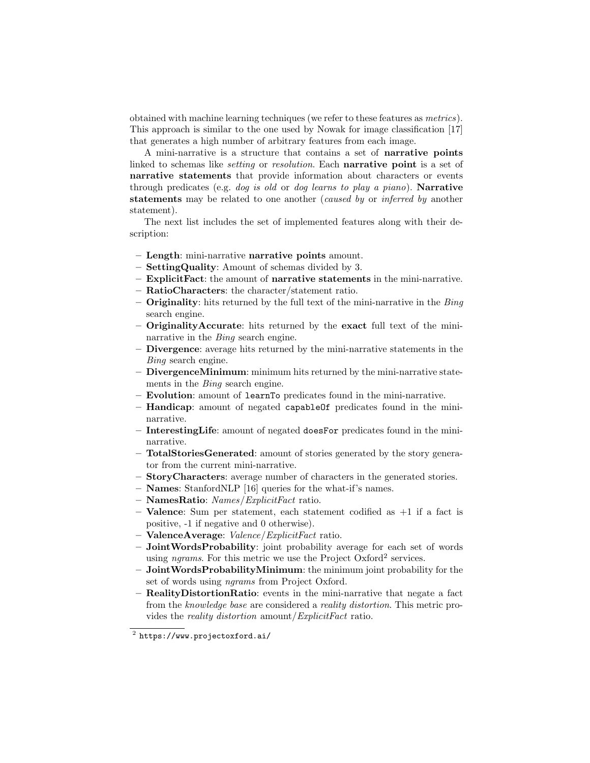obtained with machine learning techniques (we refer to these features as metrics). This approach is similar to the one used by Nowak for image classification [17] that generates a high number of arbitrary features from each image.

A mini-narrative is a structure that contains a set of narrative points linked to schemas like *setting* or *resolution*. Each **narrative point** is a set of narrative statements that provide information about characters or events through predicates (e.g. *dog is old* or *dog learns to play a piano*). **Narrative** statements may be related to one another (caused by or inferred by another statement).

The next list includes the set of implemented features along with their description:

- Length: mini-narrative narrative points amount.
- SettingQuality: Amount of schemas divided by 3.
- ExplicitFact: the amount of narrative statements in the mini-narrative.
- RatioCharacters: the character/statement ratio.
- $-$  Originality: hits returned by the full text of the mini-narrative in the  $\mathit{Bing}$ search engine.
- OriginalityAccurate: hits returned by the exact full text of the mininarrative in the Bing search engine.
- Divergence: average hits returned by the mini-narrative statements in the Bing search engine.
- DivergenceMinimum: minimum hits returned by the mini-narrative statements in the Bing search engine.
- Evolution: amount of learnTo predicates found in the mini-narrative.
- Handicap: amount of negated capableOf predicates found in the mininarrative.
- InterestingLife: amount of negated doesFor predicates found in the mininarrative.
- TotalStoriesGenerated: amount of stories generated by the story generator from the current mini-narrative.
- StoryCharacters: average number of characters in the generated stories.
- Names: StanfordNLP [16] queries for the what-if's names.
- $-$  **NamesRatio**: *Names/ExplicitFact* ratio.
- **Valence**: Sum per statement, each statement codified as  $+1$  if a fact is positive, -1 if negative and 0 otherwise).
- $-$  ValenceAverage: Valence/ExplicitFact ratio.
- JointWordsProbability: joint probability average for each set of words using *ngrams*. For this metric we use the Project Oxford<sup>2</sup> services.
- JointWordsProbabilityMinimum: the minimum joint probability for the set of words using ngrams from Project Oxford.
- RealityDistortionRatio: events in the mini-narrative that negate a fact from the knowledge base are considered a reality distortion. This metric provides the reality distortion amount/ExplicitFact ratio.

 $^2$  https://www.projectoxford.ai/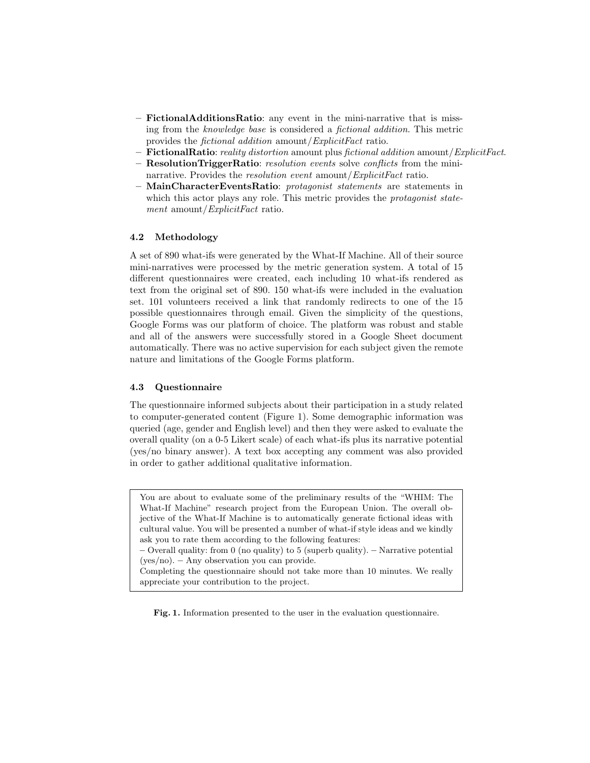- FictionalAdditionsRatio: any event in the mini-narrative that is missing from the knowledge base is considered a fictional addition. This metric provides the fictional addition amount/ExplicitFact ratio.
- FictionalRatio: reality distortion amount plus fictional addition amount/ $ExplicitFact$ .
- ResolutionTriggerRatio: resolution events solve conflicts from the mininarrative. Provides the *resolution event* amount/*ExplicitFact* ratio.
- MainCharacterEventsRatio: protagonist statements are statements in which this actor plays any role. This metric provides the *protagonist state*ment amount/*ExplicitFact* ratio.

#### 4.2 Methodology

A set of 890 what-ifs were generated by the What-If Machine. All of their source mini-narratives were processed by the metric generation system. A total of 15 different questionnaires were created, each including 10 what-ifs rendered as text from the original set of 890. 150 what-ifs were included in the evaluation set. 101 volunteers received a link that randomly redirects to one of the 15 possible questionnaires through email. Given the simplicity of the questions, Google Forms was our platform of choice. The platform was robust and stable and all of the answers were successfully stored in a Google Sheet document automatically. There was no active supervision for each subject given the remote nature and limitations of the Google Forms platform.

#### 4.3 Questionnaire

The questionnaire informed subjects about their participation in a study related to computer-generated content (Figure 1). Some demographic information was queried (age, gender and English level) and then they were asked to evaluate the overall quality (on a 0-5 Likert scale) of each what-ifs plus its narrative potential (yes/no binary answer). A text box accepting any comment was also provided in order to gather additional qualitative information.

You are about to evaluate some of the preliminary results of the "WHIM: The What-If Machine" research project from the European Union. The overall objective of the What-If Machine is to automatically generate fictional ideas with cultural value. You will be presented a number of what-if style ideas and we kindly ask you to rate them according to the following features:

– Overall quality: from 0 (no quality) to 5 (superb quality). – Narrative potential (yes/no). – Any observation you can provide.

Completing the questionnaire should not take more than 10 minutes. We really appreciate your contribution to the project.

Fig. 1. Information presented to the user in the evaluation questionnaire.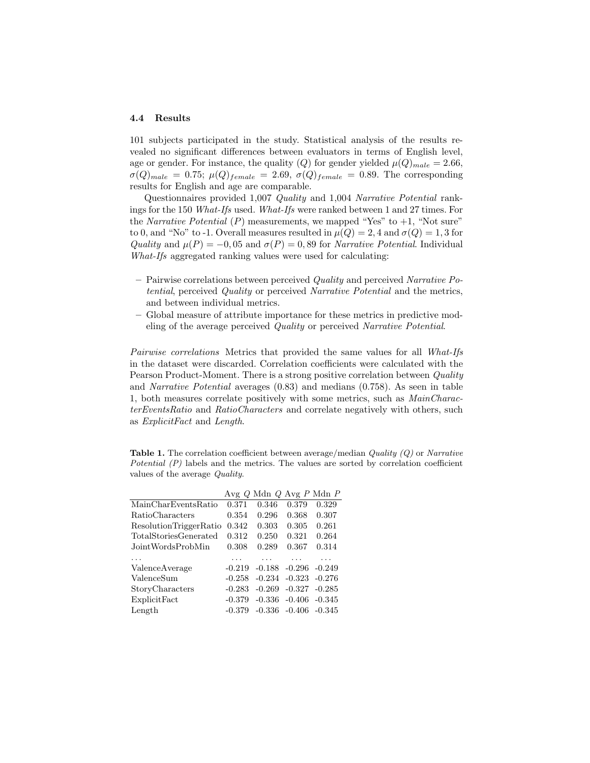#### 4.4 Results

101 subjects participated in the study. Statistical analysis of the results revealed no significant differences between evaluators in terms of English level, age or gender. For instance, the quality (Q) for gender yielded  $\mu(Q)_{male} = 2.66$ ,  $\sigma(Q)_{male} = 0.75; \ \mu(Q)_{female} = 2.69, \ \sigma(Q)_{female} = 0.89.$  The corresponding results for English and age are comparable.

Questionnaires provided 1,007 Quality and 1,004 Narrative Potential rankings for the 150 What-Ifs used. What-Ifs were ranked between 1 and 27 times. For the Narrative Potential  $(P)$  measurements, we mapped "Yes" to  $+1$ , "Not sure" to 0, and "No" to -1. Overall measures resulted in  $\mu(Q) = 2$ , 4 and  $\sigma(Q) = 1$ , 3 for Quality and  $\mu(P) = -0.05$  and  $\sigma(P) = 0.89$  for Narrative Potential. Individual What-Ifs aggregated ranking values were used for calculating:

- $-$  Pairwise correlations between perceived Quality and perceived Narrative Potential, perceived Quality or perceived Narrative Potential and the metrics, and between individual metrics.
- Global measure of attribute importance for these metrics in predictive modeling of the average perceived Quality or perceived Narrative Potential.

Pairwise correlations Metrics that provided the same values for all What-Ifs in the dataset were discarded. Correlation coefficients were calculated with the Pearson Product-Moment. There is a strong positive correlation between *Quality* and Narrative Potential averages (0.83) and medians (0.758). As seen in table 1, both measures correlate positively with some metrics, such as MainCharacterEventsRatio and RatioCharacters and correlate negatively with others, such as ExplicitFact and Length.

**Table 1.** The correlation coefficient between average/median  $Quality (Q)$  or Narrative Potential (P) labels and the metrics. The values are sorted by correlation coefficient values of the average Quality.

|                        |          | Avg Q Mdn Q Avg P Mdn P |                            |                 |
|------------------------|----------|-------------------------|----------------------------|-----------------|
| MainCharEventsRatio    | 0.371    | 0.346                   | 0.379                      | 0.329           |
| RatioCharacters        | 0.354    | 0.296                   | 0.368                      | 0.307           |
| ResolutionTriggerRatio | 0.342    | 0.303                   | 0.305                      | 0.261           |
| TotalStoriesGenerated  | 0.312    | 0.250                   | 0.321                      | 0.264           |
| JointWordsProbMin      | 0.308    | 0.289                   | 0.367                      | 0.314           |
|                        |          |                         |                            |                 |
| ValenceAverage         | $-0.219$ |                         | $-0.188$ $-0.296$ $-0.249$ |                 |
| ValenceSum             | $-0.258$ |                         | $-0.234$ $-0.323$ $-0.276$ |                 |
| StoryCharacters        | $-0.283$ | $-0.269$                |                            | $-0.327 -0.285$ |
| ExplicitFact           | $-0.379$ |                         | $-0.336$ $-0.406$ $-0.345$ |                 |
| Length                 | $-0.379$ |                         | $-0.336$ $-0.406$ $-0.345$ |                 |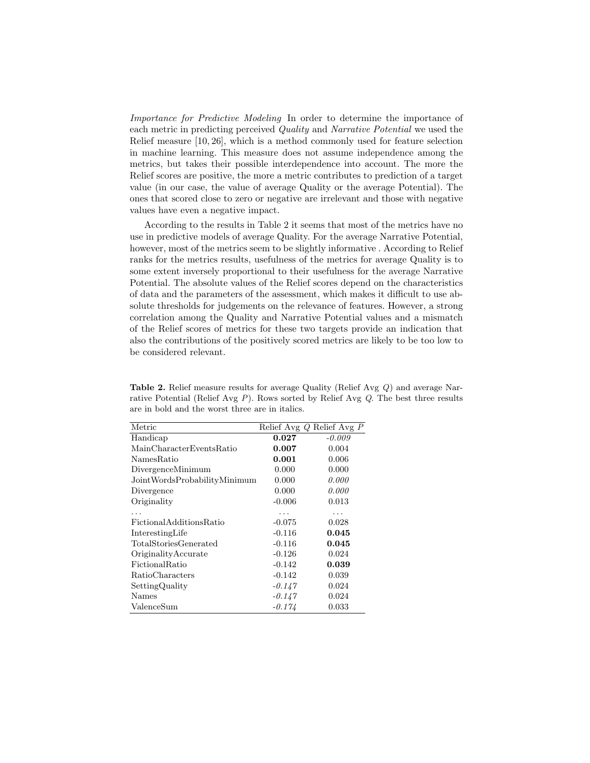Importance for Predictive Modeling In order to determine the importance of each metric in predicting perceived Quality and Narrative Potential we used the Relief measure [10, 26], which is a method commonly used for feature selection in machine learning. This measure does not assume independence among the metrics, but takes their possible interdependence into account. The more the Relief scores are positive, the more a metric contributes to prediction of a target value (in our case, the value of average Quality or the average Potential). The ones that scored close to zero or negative are irrelevant and those with negative values have even a negative impact.

According to the results in Table 2 it seems that most of the metrics have no use in predictive models of average Quality. For the average Narrative Potential, however, most of the metrics seem to be slightly informative . According to Relief ranks for the metrics results, usefulness of the metrics for average Quality is to some extent inversely proportional to their usefulness for the average Narrative Potential. The absolute values of the Relief scores depend on the characteristics of data and the parameters of the assessment, which makes it difficult to use absolute thresholds for judgements on the relevance of features. However, a strong correlation among the Quality and Narrative Potential values and a mismatch of the Relief scores of metrics for these two targets provide an indication that also the contributions of the positively scored metrics are likely to be too low to be considered relevant.

| Metric                       |          | Relief Avg Q Relief Avg P |
|------------------------------|----------|---------------------------|
| Handicap                     | 0.027    | $-0.009$                  |
| MainCharacterEventsRatio     | 0.007    | 0.004                     |
| NamesRatio                   | 0.001    | 0.006                     |
| DivergenceMinimum            | 0.000    | 0.000                     |
| JointWordsProbabilityMinimum | 0.000    | 0.000                     |
| Divergence                   | 0.000    | 0.000                     |
| Originality                  | $-0.006$ | 0.013                     |
|                              | .        |                           |
| FictionalAdditionsRatio      | $-0.075$ | 0.028                     |
| InterestingLife              | $-0.116$ | 0.045                     |
| TotalStoriesGenerated        | $-0.116$ | 0.045                     |
| OriginalityAccurate          | $-0.126$ | 0.024                     |
| FictionalRatio               | $-0.142$ | 0.039                     |
| RatioCharacters              | $-0.142$ | 0.039                     |
| SettingQuality               | $-0.147$ | 0.024                     |
| Names                        | $-0.147$ | 0.024                     |
| ValenceSum                   | -0.174   | 0.033                     |

Table 2. Relief measure results for average Quality (Relief Avg Q) and average Narrative Potential (Relief Avg P). Rows sorted by Relief Avg Q. The best three results are in bold and the worst three are in italics.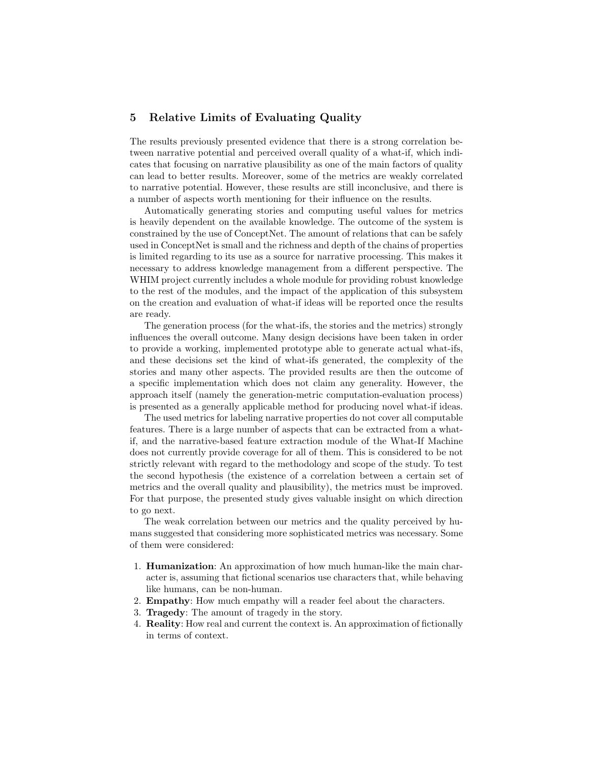# 5 Relative Limits of Evaluating Quality

The results previously presented evidence that there is a strong correlation between narrative potential and perceived overall quality of a what-if, which indicates that focusing on narrative plausibility as one of the main factors of quality can lead to better results. Moreover, some of the metrics are weakly correlated to narrative potential. However, these results are still inconclusive, and there is a number of aspects worth mentioning for their influence on the results.

Automatically generating stories and computing useful values for metrics is heavily dependent on the available knowledge. The outcome of the system is constrained by the use of ConceptNet. The amount of relations that can be safely used in ConceptNet is small and the richness and depth of the chains of properties is limited regarding to its use as a source for narrative processing. This makes it necessary to address knowledge management from a different perspective. The WHIM project currently includes a whole module for providing robust knowledge to the rest of the modules, and the impact of the application of this subsystem on the creation and evaluation of what-if ideas will be reported once the results are ready.

The generation process (for the what-ifs, the stories and the metrics) strongly influences the overall outcome. Many design decisions have been taken in order to provide a working, implemented prototype able to generate actual what-ifs, and these decisions set the kind of what-ifs generated, the complexity of the stories and many other aspects. The provided results are then the outcome of a specific implementation which does not claim any generality. However, the approach itself (namely the generation-metric computation-evaluation process) is presented as a generally applicable method for producing novel what-if ideas.

The used metrics for labeling narrative properties do not cover all computable features. There is a large number of aspects that can be extracted from a whatif, and the narrative-based feature extraction module of the What-If Machine does not currently provide coverage for all of them. This is considered to be not strictly relevant with regard to the methodology and scope of the study. To test the second hypothesis (the existence of a correlation between a certain set of metrics and the overall quality and plausibility), the metrics must be improved. For that purpose, the presented study gives valuable insight on which direction to go next.

The weak correlation between our metrics and the quality perceived by humans suggested that considering more sophisticated metrics was necessary. Some of them were considered:

- 1. Humanization: An approximation of how much human-like the main character is, assuming that fictional scenarios use characters that, while behaving like humans, can be non-human.
- 2. Empathy: How much empathy will a reader feel about the characters.
- 3. Tragedy: The amount of tragedy in the story.
- 4. Reality: How real and current the context is. An approximation of fictionally in terms of context.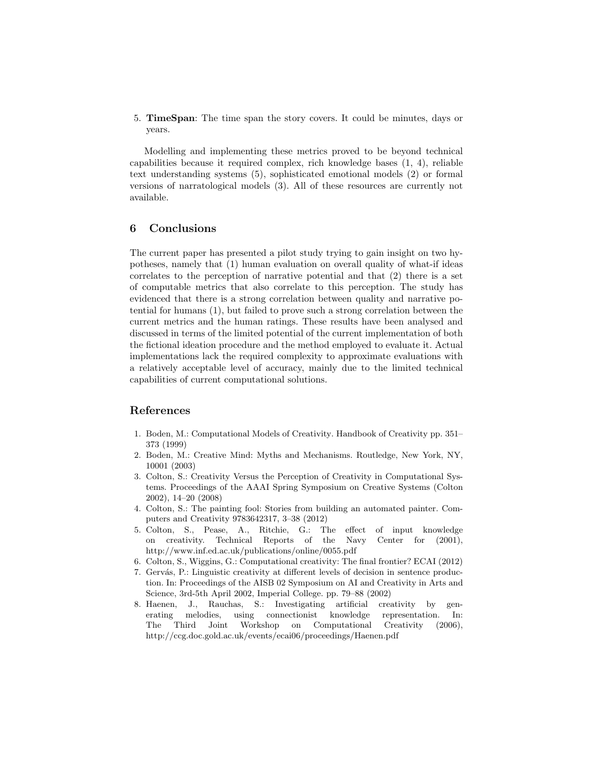5. TimeSpan: The time span the story covers. It could be minutes, days or years.

Modelling and implementing these metrics proved to be beyond technical capabilities because it required complex, rich knowledge bases (1, 4), reliable text understanding systems (5), sophisticated emotional models (2) or formal versions of narratological models (3). All of these resources are currently not available.

## 6 Conclusions

The current paper has presented a pilot study trying to gain insight on two hypotheses, namely that (1) human evaluation on overall quality of what-if ideas correlates to the perception of narrative potential and that (2) there is a set of computable metrics that also correlate to this perception. The study has evidenced that there is a strong correlation between quality and narrative potential for humans (1), but failed to prove such a strong correlation between the current metrics and the human ratings. These results have been analysed and discussed in terms of the limited potential of the current implementation of both the fictional ideation procedure and the method employed to evaluate it. Actual implementations lack the required complexity to approximate evaluations with a relatively acceptable level of accuracy, mainly due to the limited technical capabilities of current computational solutions.

# References

- 1. Boden, M.: Computational Models of Creativity. Handbook of Creativity pp. 351– 373 (1999)
- 2. Boden, M.: Creative Mind: Myths and Mechanisms. Routledge, New York, NY, 10001 (2003)
- 3. Colton, S.: Creativity Versus the Perception of Creativity in Computational Systems. Proceedings of the AAAI Spring Symposium on Creative Systems (Colton 2002), 14–20 (2008)
- 4. Colton, S.: The painting fool: Stories from building an automated painter. Computers and Creativity 9783642317, 3–38 (2012)
- 5. Colton, S., Pease, A., Ritchie, G.: The effect of input knowledge on creativity. Technical Reports of the Navy Center for (2001), http://www.inf.ed.ac.uk/publications/online/0055.pdf
- 6. Colton, S., Wiggins, G.: Computational creativity: The final frontier? ECAI (2012)
- 7. Gervás, P.: Linguistic creativity at different levels of decision in sentence production. In: Proceedings of the AISB 02 Symposium on AI and Creativity in Arts and Science, 3rd-5th April 2002, Imperial College. pp. 79–88 (2002)
- 8. Haenen, J., Rauchas, S.: Investigating artificial creativity by generating melodies, using connectionist knowledge representation. In: The Third Joint Workshop on Computational Creativity (2006), http://ccg.doc.gold.ac.uk/events/ecai06/proceedings/Haenen.pdf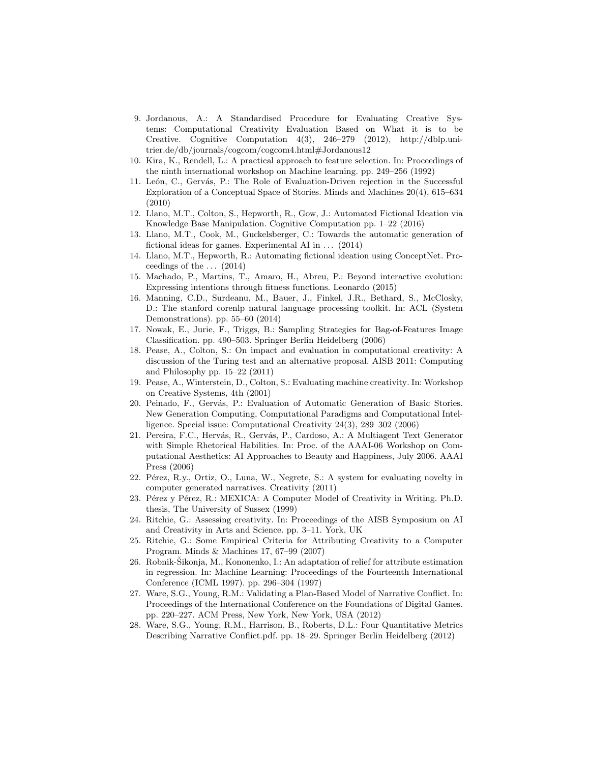- 9. Jordanous, A.: A Standardised Procedure for Evaluating Creative Systems: Computational Creativity Evaluation Based on What it is to be Creative. Cognitive Computation 4(3), 246–279 (2012), http://dblp.unitrier.de/db/journals/cogcom/cogcom4.html#Jordanous12
- 10. Kira, K., Rendell, L.: A practical approach to feature selection. In: Proceedings of the ninth international workshop on Machine learning. pp. 249–256 (1992)
- 11. León, C., Gervás, P.: The Role of Evaluation-Driven rejection in the Successful Exploration of a Conceptual Space of Stories. Minds and Machines 20(4), 615–634 (2010)
- 12. Llano, M.T., Colton, S., Hepworth, R., Gow, J.: Automated Fictional Ideation via Knowledge Base Manipulation. Cognitive Computation pp. 1–22 (2016)
- 13. Llano, M.T., Cook, M., Guckelsberger, C.: Towards the automatic generation of fictional ideas for games. Experimental AI in  $\dots$  (2014)
- 14. Llano, M.T., Hepworth, R.: Automating fictional ideation using ConceptNet. Proceedings of the  $\ldots$  (2014)
- 15. Machado, P., Martins, T., Amaro, H., Abreu, P.: Beyond interactive evolution: Expressing intentions through fitness functions. Leonardo (2015)
- 16. Manning, C.D., Surdeanu, M., Bauer, J., Finkel, J.R., Bethard, S., McClosky, D.: The stanford corenlp natural language processing toolkit. In: ACL (System Demonstrations). pp. 55–60 (2014)
- 17. Nowak, E., Jurie, F., Triggs, B.: Sampling Strategies for Bag-of-Features Image Classification. pp. 490–503. Springer Berlin Heidelberg (2006)
- 18. Pease, A., Colton, S.: On impact and evaluation in computational creativity: A discussion of the Turing test and an alternative proposal. AISB 2011: Computing and Philosophy pp. 15–22 (2011)
- 19. Pease, A., Winterstein, D., Colton, S.: Evaluating machine creativity. In: Workshop on Creative Systems, 4th (2001)
- 20. Peinado, F., Gervás, P.: Evaluation of Automatic Generation of Basic Stories. New Generation Computing, Computational Paradigms and Computational Intelligence. Special issue: Computational Creativity 24(3), 289–302 (2006)
- 21. Pereira, F.C., Hervás, R., Gervás, P., Cardoso, A.: A Multiagent Text Generator with Simple Rhetorical Habilities. In: Proc. of the AAAI-06 Workshop on Computational Aesthetics: AI Approaches to Beauty and Happiness, July 2006. AAAI Press (2006)
- 22. Pérez, R.y., Ortiz, O., Luna, W., Negrete, S.: A system for evaluating novelty in computer generated narratives. Creativity (2011)
- 23. Pérez y Pérez, R.: MEXICA: A Computer Model of Creativity in Writing. Ph.D. thesis, The University of Sussex (1999)
- 24. Ritchie, G.: Assessing creativity. In: Proceedings of the AISB Symposium on AI and Creativity in Arts and Science. pp. 3–11. York, UK
- 25. Ritchie, G.: Some Empirical Criteria for Attributing Creativity to a Computer Program. Minds & Machines 17, 67–99 (2007)
- 26. Robnik-Sikonja, M., Kononenko, I.: An adaptation of relief for attribute estimation in regression. In: Machine Learning: Proceedings of the Fourteenth International Conference (ICML 1997). pp. 296–304 (1997)
- 27. Ware, S.G., Young, R.M.: Validating a Plan-Based Model of Narrative Conflict. In: Proceedings of the International Conference on the Foundations of Digital Games. pp. 220–227. ACM Press, New York, New York, USA (2012)
- 28. Ware, S.G., Young, R.M., Harrison, B., Roberts, D.L.: Four Quantitative Metrics Describing Narrative Conflict.pdf. pp. 18–29. Springer Berlin Heidelberg (2012)